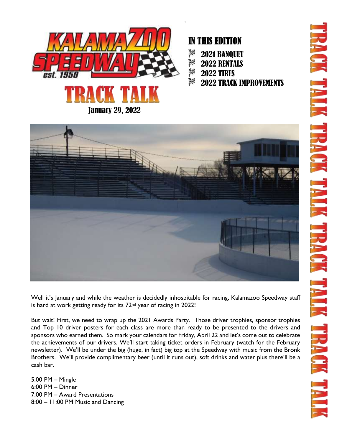

## IN THIS EDITION

| $\frac{3}{2}$   | <b>2021 BANQUET</b> |  |
|-----------------|---------------------|--|
| <b>SALE 200</b> |                     |  |

|  | <b>2022 RENTALS</b> |
|--|---------------------|

- $\frac{3}{2}$ 2022 TIRES
- 8% 2022 TRACK IMPROVEMENTS



Well it's January and while the weather is decidedly inhospitable for racing, Kalamazoo Speedway staff is hard at work getting ready for its 72nd year of racing in 2022!

But wait! First, we need to wrap up the 2021 Awards Party. Those driver trophies, sponsor trophies and Top 10 driver posters for each class are more than ready to be presented to the drivers and sponsors who earned them. So mark your calendars for Friday, April 22 and let's come out to celebrate the achievements of our drivers. We'll start taking ticket orders in February (watch for the February newsletter). We'll be under the big (huge, in fact) big top at the Speedway with music from the Bronk Brothers. We'll provide complimentary beer (until it runs out), soft drinks and water plus there'll be a cash bar.

5:00 PM – Mingle 6:00 PM – Dinner 7:00 PM – Award Presentations 8:00 – 11:00 PM Music and Dancing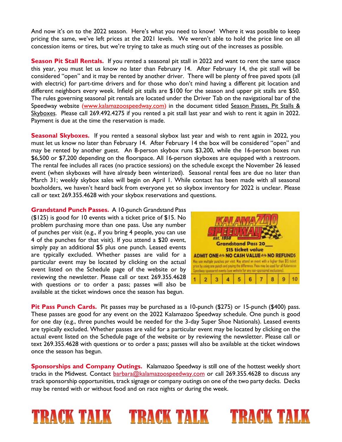And now it's on to the 2022 season. Here's what you need to know! Where it was possible to keep pricing the same, we've left prices at the 2021 levels. We weren't able to hold the price line on all concession items or tires, but we're trying to take as much sting out of the increases as possible.

**Season Pit Stall Rentals.** If you rented a seasonal pit stall in 2022 and want to rent the same space this year, you must let us know no later than February 14. After February 14, the pit stall will be considered "open" and it may be rented by another driver. There will be plenty of free paved spots (all with electric) for part-time drivers and for those who don't mind having a different pit location and different neighbors every week. Infield pit stalls are \$100 for the season and upper pit stalls are \$50. The rules governing seasonal pit rentals are located under the Driver Tab on the navigational bar of the Speedway website [\(www.kalamazoospeedway.com\)](http://www.kalamazoospeedway.com/) in the document titled Season Passes, Pit Stalls & Skyboxes. Please call 269.492.4275 if you rented a pit stall last year and wish to rent it again in 2022. Payment is due at the time the reservation is made.

**Seasonal Skyboxes.** If you rented a seasonal skybox last year and wish to rent again in 2022, you must let us know no later than February 14. After February 14 the box will be considered "open" and may be rented by another guest. An 8-person skybox runs \$3,200, while the 16-person boxes run \$6,500 or \$7,200 depending on the floorspace. All 16-person skyboxes are equipped with a restroom. The rental fee includes all races (no practice sessions) on the schedule except the November 26 leased event (when skyboxes will have already been winterized). Seasonal rental fees are due no later than March 31; weekly skybox sales will begin on April 1. While contact has been made with all seasonal boxholders, we haven't heard back from everyone yet so skybox inventory for 2022 is unclear. Please call or text 269.355.4628 with your skybox reservations and questions.

**Grandstand Punch Passes.** A 10-punch Grandstand Pass (\$125) is good for 10 events with a ticket price of \$15. No problem purchasing more than one pass. Use any number of punches per visit (e.g., if you bring 4 people, you can use 4 of the punches for that visit). If you attend a \$20 event, simply pay an additional \$5 plus one punch. Leased events are typically excluded. Whether passes are valid for a particular event may be located by clicking on the actual event listed on the Schedule page of the website or by reviewing the newsletter. Please call or text 269.355.4628 with questions or to order a pass; passes will also be available at the ticket windows once the season has begun.



**TRACK TALK** 

**Pit Pass Punch Cards.** Pit passes may be purchased as a 10-punch (\$275) or 15-punch (\$400) pass. These passes are good for any event on the 2022 Kalamazoo Speedway schedule. One punch is good for one day (e.g., three punches would be needed for the 3-day Super Shoe Nationals). Leased events are typically excluded. Whether passes are valid for a particular event may be located by clicking on the actual event listed on the Schedule page of the website or by reviewing the newsletter. Please call or text 269.355.4628 with questions or to order a pass; passes will also be available at the ticket windows once the season has begun.

**Sponsorships and Company Outings.** Kalamazoo Speedway is still one of the hottest weekly short tracks in the Midwest. Contact **barbara@kalamazoospeedway.com** or call 269.355.4628 to discuss any track sponsorship opportunities, track signage or company outings on one of the two party decks. Decks may be rented with or without food and on race nights or during the week.

TRACK TALK TRACK TALK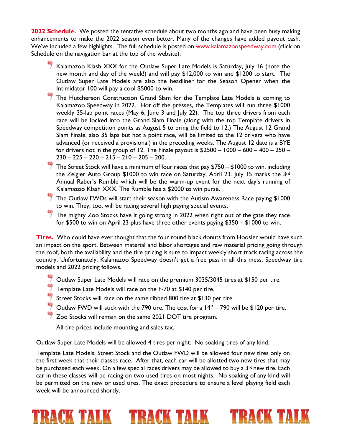**2022 Schedule.** We posted the tentative schedule about two months ago and have been busy making enhancements to make the 2022 season even better. Many of the changes have added payout cash. We've included a few highlights. The full schedule is posted on [www.kalamazoospeedway.com](http://www.kalamazoospeedway.com/) (click on Schedule on the navigation bar at the top of the website).

- Kalamazoo Klash XXX for the Outlaw Super Late Models is Saturday, July 16 (note the new month and day of the week!) and will pay \$12,000 to win and \$1200 to start. The Outlaw Super Late Models are also the headliner for the Season Opener when the Intimidator 100 will pay a cool \$5000 to win.
- $\frac{46}{3}$  The Hutcherson Construction Grand Slam for the Template Late Models is coming to Kalamazoo Speedway in 2022. Hot off the presses, the Templates will run three \$1000 weekly 35-lap point races (May 6, June 3 and July 22). The top three drivers from each race will be locked into the Grand Slam Finale (along with the top Template drivers in Speedway competition points as August 5 to bring the field to 12.) The August 12 Grand Slam Finale, also 35 laps but not a point race, will be limited to the 12 drivers who have advanced (or received a provisional) in the preceding weeks. The August 12 date is a BYE for drivers not in the group of 12. The Finale payout is  $$2500 - 1000 - 600 - 400 - 250 230 - 225 - 220 - 215 - 210 - 205 - 200$ .
- $\frac{46}{3}$  The Street Stock will have a minimum of four races that pay \$750 \$1000 to win, including the Zeigler Auto Group \$1000 to win race on Saturday, April 23. July 15 marks the 3rd Annual Raber's Rumble which will be the warm-up event for the next day's running of Kalamazoo Klash XXX. The Rumble has a \$2000 to win purse.
- The Outlaw FWDs will start their season with the Autism Awareness Race paying  $$1000$ to win. They, too, will be racing several high paying special events.
- The mighty Zoo Stocks have it going strong in 2022 when right out of the gate they race for \$500 to win on April 23 plus have three other events paying \$350 – \$1000 to win.

**Tires.** Who could have ever thought that the four round black donuts from Hoosier would have such an impact on the sport. Between material and labor shortages and raw material pricing going through the roof, both the availability and the tire pricing is sure to impact weekly short track racing across the country. Unfortunately, Kalamazoo Speedway doesn't get a free pass in all this mess. Speedway tire models and 2022 pricing follows.

- Outlaw Super Late Models will race on the premium 3035/3045 tires at \$150 per tire.
- $\frac{46}{7}$  Template Late Models will race on the F-70 at \$140 per tire.
- Street Stocks will race on the same ribbed 800 tire at \$130 per tire.
- $\stackrel{\text{def}}{=}$  Outlaw FWD will stick with the 790 tire. The cost for a 14" 790 will be \$120 per tire.
- $\frac{360}{7}$  Zoo Stocks will remain on the same 2021 DOT tire program.

All tire prices include mounting and sales tax.

Outlaw Super Late Models will be allowed 4 tires per night. No soaking tires of any kind.

Template Late Models, Street Stock and the Outlaw FWD will be allowed four new tires only on the first week that their classes race. After that, each car will be allotted two new tires that may be purchased each week. On a few special races drivers may be allowed to buy a 3<sup>rd</sup> new tire. Each car in these classes will be racing on two used tires on most nights. No soaking of any kind will be permitted on the new or used tires. The exact procedure to ensure a level playing field each week will be announced shortly.